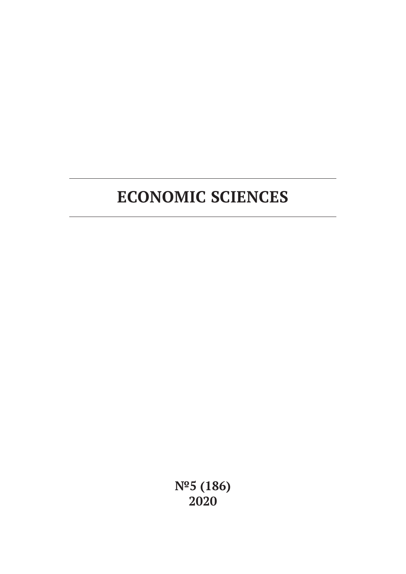**№5 (186) 2020**

# **ECONOMIC SCIENCES**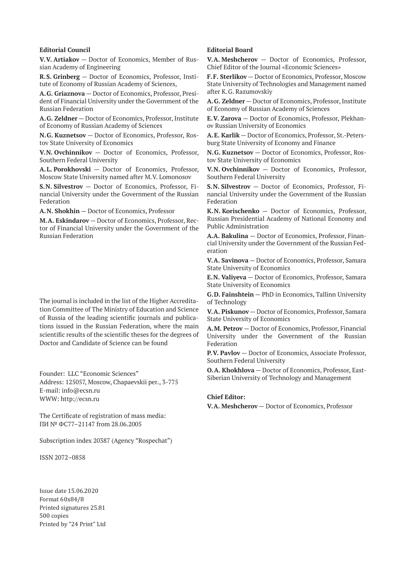#### **Editorial Council**

**V.V. Artiakov** — Doctor of Economics, Member of Russian Academy of Engineering

**R.S. Grinberg** — Doctor of Economics, Professor, Institute of Economy of Russian Academy of Sciences,

**A.G. Griaznova** — Doctor of Economics, Professor, President of Financial University under the Government of the Russian Federation

**A.G. Zeldner** — Doctor of Economics, Professor, Institute of Economy of Russian Academy of Sciences

**N.G. Kuznetsov** — Doctor of Economics, Professor, Rostov State University of Economics

**V.N. Ovchinnikov** — Doctor of Economics, Professor, Southern Federal University

**A.L. Porokhovski** — Doctor of Economics, Professor, Moscow State University named after M.V. Lomonosov

**S.N. Silvestrov** — Doctor of Economics, Professor, Financial University under the Government of the Russian Federation

**A.N. Shokhin** — Doctor of Economics, Professor

**M.A. Eskindarov** — Doctor of Economics, Professor, Rector of Financial University under the Government of the Russian Federation

The journal is included in the list of the Higher Accreditation Committee of The Ministry of Education and Science of Russia of the leading scientific journals and publications issued in the Russian Federation, where the main scientific results of the scientific theses for the degrees of Doctor and Candidate of Science can be found

Founder: LLC "Economic Sciences" Address: 125057, Moscow, Chapaevskii per., 3-775 E-mail: info@ecsn.ru WWW: http://ecsn.ru

The Certificate of registration of mass media: ПИ № ФС77–21147 from 28.06.2005

Subscription index 20387 (Agency "Rospechat")

ISSN 2072–0858

Issue date 15.06.2020 Format 60х84/8 Printed signatures 25.81 500 copies Printed by "24 Print" Ltd

#### **Editorial Board**

**V.A. Meshcherov** — Doctor of Economics, Professor, Chief Editor of the Journal «Economic Sciences»

**F.F. Sterlikov** — Doctor of Economics, Professor, Moscow State University of Technologies and Management named after K.G. Razumovskiy

**A.G. Zeldner** — Doctor of Economics, Professor, Institute of Economy of Russian Academy of Sciences

**E.V. Zarova** — Doctor of Economics, Professor, Plekhanov Russian University of Economics

**A.E. Karlik** — Doctor of Economics, Professor, St.-Petersburg State University of Economy and Finance

**N.G. Kuznetsov** — Doctor of Economics, Professor, Rostov State University of Economics

**V.N. Ovchinnikov** — Doctor of Economics, Professor, Southern Federal University

**S.N. Silvestrov** — Doctor of Economics, Professor, Financial University under the Government of the Russian Federation

**K.N. Korischenko** — Doctor of Economics, Professor, Russian Presidential Academy of National Economy and Public Administration

**A.A. Bakulina** — Doctor of Economics, Professor, Financial University under the Government of the Russian Federation

**V.A. Savinova** — Doctor of Economics, Professor, Samara State University of Economics

**E.N. Valiyeva** — Doctor of Economics, Professor, Samara State University of Economics

**G.D. Fainshtein** — PhD in Economics, Tallinn University of Technology

**V.A. Piskunov** — Doctor of Economics, Professor, Samara State University of Economics

**A.M. Petrov** — Doctor of Economics, Professor, Financial University under the Government of the Russian Federation

**P.V. Pavlov** — Doctor of Economics, Associate Professor, Southern Federal University

**O.A. Khokhlova** — Doctor of Economics, Professor, East-Siberian University of Technology and Management

#### **Chief Editor:**

**V.A. Meshcherov** — Doctor of Economics, Professor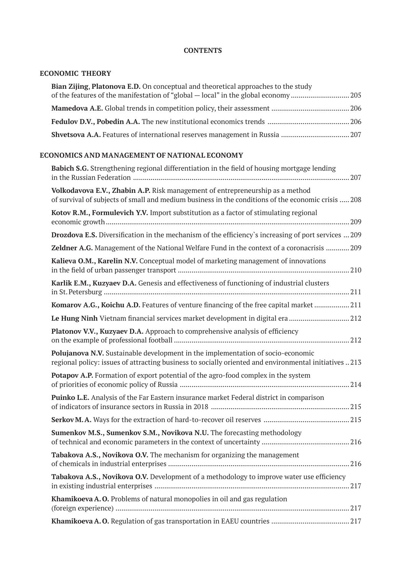### **CONTENTS**

### **ECONOMIC THEORY**

| Bian Zijing, Platonova E.D. On conceptual and theoretical approaches to the study |  |
|-----------------------------------------------------------------------------------|--|
|                                                                                   |  |
|                                                                                   |  |
|                                                                                   |  |
|                                                                                   |  |

### **ECONOMICS AND MANAGEMENT OF NATIONAL ECONOMY**

| Babich S.G. Strengthening regional differentiation in the field of housing mortgage lending                                                                                              |
|------------------------------------------------------------------------------------------------------------------------------------------------------------------------------------------|
| Volkodavova E.V., Zhabin A.P. Risk management of entrepreneurship as a method<br>of survival of subjects of small and medium business in the conditions of the economic crisis  208      |
| Kotov R.M., Formulevich Y.V. Import substitution as a factor of stimulating regional                                                                                                     |
| Drozdova E.S. Diversification in the mechanism of the efficiency's increasing of port services  209                                                                                      |
| Zeldner A.G. Management of the National Welfare Fund in the context of a coronacrisis  209                                                                                               |
| Kalieva O.M., Karelin N.V. Conceptual model of marketing management of innovations                                                                                                       |
| Karlik E.M., Kuzyaev D.A. Genesis and effectiveness of functioning of industrial clusters                                                                                                |
| Komarov A.G., Koichu A.D. Features of venture financing of the free capital market  211                                                                                                  |
| Le Hung Ninh Vietnam financial services market development in digital era 212                                                                                                            |
| Platonov V.V., Kuzyaev D.A. Approach to comprehensive analysis of efficiency                                                                                                             |
| Polujanova N.V. Sustainable development in the implementation of socio-economic<br>regional policy: issues of attracting business to socially oriented and environmental initiatives 213 |
| Potapov A.P. Formation of export potential of the agro-food complex in the system                                                                                                        |
| Puinko L.E. Analysis of the Far Eastern insurance market Federal district in comparison                                                                                                  |
|                                                                                                                                                                                          |
| Sumenkov M.S., Sumenkov S.M., Novikova N.U. The forecasting methodology                                                                                                                  |
| Tabakova A.S., Novikova O.V. The mechanism for organizing the management                                                                                                                 |
| Tabakova A.S., Novikova O.V. Development of a methodology to improve water use efficiency                                                                                                |
| Khamikoeva A.O. Problems of natural monopolies in oil and gas regulation                                                                                                                 |
|                                                                                                                                                                                          |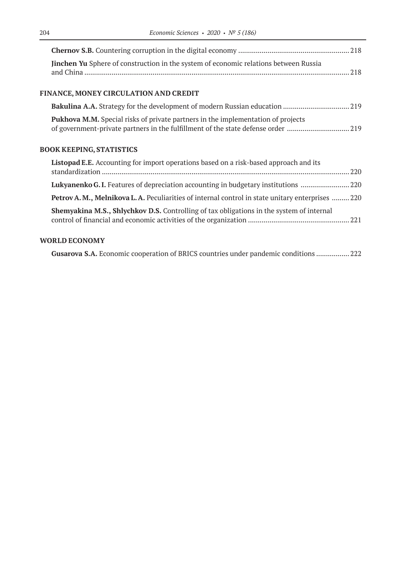| Jinchen Yu Sphere of construction in the system of economic relations between Russia |  |
|--------------------------------------------------------------------------------------|--|
|                                                                                      |  |

# **FINANCE, MONEY CIRCULATION AND CREDIT**

| <b>Pukhova M.M.</b> Special risks of private partners in the implementation of projects |  |
|-----------------------------------------------------------------------------------------|--|
|                                                                                         |  |

# **BOOK KEEPING, STATISTICS**

| Listopad E.E. Accounting for import operations based on a risk-based approach and its                    |  |
|----------------------------------------------------------------------------------------------------------|--|
| Lukyanenko G.I. Features of depreciation accounting in budgetary institutions 20                         |  |
| <b>Petrov A. M., Melnikova L. A.</b> Peculiarities of internal control in state unitary enterprises  220 |  |
| <b>Shemyakina M.S., Shlychkov D.S.</b> Controlling of tax obligations in the system of internal          |  |

# **WORLD ECONOMY**

| Gusarova S.A. Economic cooperation of BRICS countries under pandemic conditions  222 |  |
|--------------------------------------------------------------------------------------|--|
|--------------------------------------------------------------------------------------|--|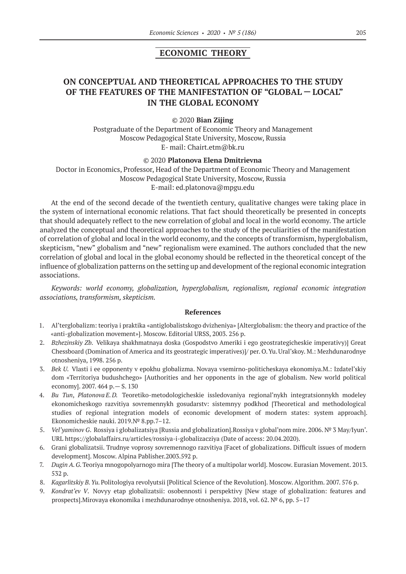### **ECONOMIC THEORY**

# **ON CONCEPTUAL AND THEORETICAL APPROACHES TO THE STUDY OF THE FEATURES OF THE MANIFESTATION OF "GLOBAL — LOCAL" IN THE GLOBAL ECONOMY**

#### © 2020 **Bian Zijing**

Postgraduate of the Department of Economic Theory and Management Moscow Pedagogical State University, Moscow, Russia E- mail: Chairt.etm@bk.ru

#### © 2020 **Platonova Elena Dmitrievna**

Doctor in Economics, Professor, Head of the Department of Economic Theory and Management Moscow Pedagogical State University, Moscow, Russia E-mail: ed.platonova@mpgu.edu

At the end of the second decade of the twentieth century, qualitative changes were taking place in the system of international economic relations. That fact should theoretically be presented in concepts that should adequately reflect to the new correlation of global and local in the world economy. The article analyzed the conceptual and theoretical approaches to the study of the peculiarities of the manifestation of correlation of global and local in the world economy, and the concepts of transformism, hyperglobalism, skepticism, "new" globalism and "new" regionalism were examined. The authors concluded that the new correlation of global and local in the global economy should be reflected in the theoretical concept of the influence of globalization patterns on the setting up and development of the regional economic integration associations.

*Keywords: world economy, globalization, hyperglobalism, regionalism, regional economic integration associations, transformism, skepticism.*

- 1. Al'terglobalizm: teoriya i praktika «antiglobalistskogo dvizheniya» [Alterglobalism: the theory and practice of the «anti-globalization movement»]. Moscow. Editorial URSS, 2003. 256 p.
- 2. *Bzhezinskiy Zb.* Velikaya shakhmatnaya doska (Gospodstvo Ameriki i ego geostrategicheskie imperativy)] Great Chessboard (Domination of America and its geostrategic imperatives)]/ per. O.Yu.Ural'skoy. M.: Mezhdunarodnye otnosheniya, 1998. 256 p.
- 3. *Bek U.* Vlasti i ee opponenty v epokhu globalizma. Novaya vsemirno-politicheskaya ekonomiya.M.: Izdatel'skiy dom «Territoriya budushchego» [Authorities and her opponents in the age of globalism. New world political economy]. 2007. 464 p.— S. 130
- 4. *Bu Tun*, *Platonova E.D.* Teoretiko-metodologicheskie issledovaniya regional'nykh integratsionnykh modeley ekonomicheskogo razvitiya sovremennykh gosudarstv: sistemnyy podkhod [Theoretical and methodological studies of regional integration models of economic development of modern states: system approach]. Ekonomicheskie nauki. 2019.№ 8.pp.7–12.
- 5. *Vel'yaminov G*. Rossiya i globalizatsiya [Russia and globalization].Rossiya v global'nom mire. 2006. № 3 May/Iyun'. URL https://globalaffairs.ru/articles/rossiya-i-globalizacziya (Date of access: 20.04.2020).
- 6. Grani globalizatsii. Trudnye voprosy sovremennogo razvitiya [Facet of globalizations. Difficult issues of modern development]. Moscow. Alpina Pablisher.2003.592 p.
- 7. *Dugin A.G.*Teoriya mnogopolyarnogo mira [The theory of a multipolar world]. Moscow. Eurasian Movement. 2013. 532 p.
- 8. *Kagarlitskiy B.Yu.*Politologiya revolyutsii [Political Science of the Revolution]. Moscow. Algorithm. 2007. 576 p.
- 9. *Kondrat'ev V*. Novyy etap globalizatsii: osobennosti i perspektivy [New stage of globalization: features and prospects].Mirovaya ekonomika i mezhdunarodnye otnosheniya. 2018, vol. 62. № 6, pp. 5–17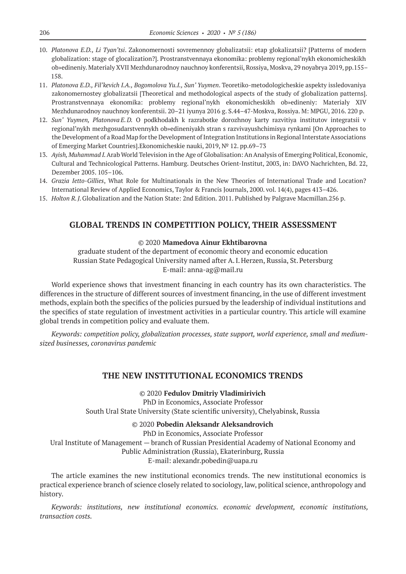- 10. *Platonova E.D., Li Tyan'tsi*. Zakonomernosti sovremennoy globalizatsii: etap glokalizatsii? [Patterns of modern globalization: stage of glocalization?]. Prostranstvennaya ekonomika: problemy regional'nykh ekonomicheskikh ob»edineniy. Materialy XVII Mezhdunarodnoy nauchnoy konferentsii, Rossiya, Moskva, 29 noyabrya 2019, pp.155– 158.
- 11. *Platonova E.D., Fil'kevich I.A., Bogomolova Yu.I., Sun' Yuymen*. Teoretiko-metodologicheskie aspekty issledovaniya zakonomernostey globalizatsii [Theoretical and methodological aspects of the study of globalization patterns]. Prostranstvennaya ekonomika: problemy regional'nykh ekonomicheskikh ob»edineniy: Materialy XIV Mezhdunarodnoy nauchnoy konferentsii. 20–21 iyunya 2016 g. S.44–47-Moskva, Rossiya. M: MPGU, 2016. 220 p.
- 12. *Sun' Yuymen, Platonova E.D.* O podkhodakh k razrabotke dorozhnoy karty razvitiya institutov integratsii v regional'nykh mezhgosudarstvennykh ob»edineniyakh stran s razvivayushchimisya rynkami [On Approaches to the Development of a Road Map for the Development of Integration Institutions in Regional Interstate Associations of Emerging Market Countries].Ekonomicheskie nauki, 2019, № 12. pp.69–73
- 13. *Ayish, Muhammad I.*Arab World Television in the Age of Globalisation: An Analysis of Emerging Political, Economic, Cultural and Technicological Patterns. Hamburg. Deutsches Orient-Institut, 2003, in: DAVO Nachrichten, Bd. 22, Dezember 2005. 105–106.
- 14. *Grazia Ietto-Gillies*, What Role for Multinationals in the New Theories of International Trade and Location? International Review of Applied Economics, Taylor & Francis Journals, 2000. vol. 14(4), pages 413–426.
- 15. *Holton R.J.*Globalization and the Nation State: 2nd Edition. 2011. Published by Palgrave Macmillan.256 p.

### **GLOBAL TRENDS IN COMPETITION POLICY, THEIR ASSESSMENT**

#### © 2020 **Mamedova Ainur Ekhtibarovna**

graduate student of the department of economic theory and economic education Russian State Pedagogical University named after A.I.Herzen, Russia, St.Petersburg E-mail: anna-ag@mail.ru

World experience shows that investment financing in each country has its own characteristics. The differences in the structure of different sources of investment financing, in the use of different investment methods, explain both the specifics of the policies pursued by the leadership of individual institutions and the specifics of state regulation of investment activities in a particular country. This article will examine global trends in competition policy and evaluate them.

*Keywords: competition policy, globalization processes, state support, world experience, small and mediumsized businesses, coronavirus pandemic*

### **THE NEW INSTITUTIONAL ECONOMICS TRENDS**

© 2020 **Fedulov Dmitriy Vladimirivich** PhD in Economics, Associate Professor

South Ural State University (State scientific university), Chelyabinsk, Russia

#### © 2020 **Pobedin Aleksandr Aleksandrovich**

PhD in Economics, Associate Professor Ural Institute of Management — branch of Russian Presidential Academy of National Economy and Public Administration (Russia), Ekaterinburg, Russia E-mail: alexandr.pobedin@uapa.ru

The article examines the new institutional economics trends. The new institutional economics is practical experience branch of science closely related to sociology, law, political science, anthropology and history.

*Keywords: institutions, new institutional economics. economic development, economic institutions, transaction costs.*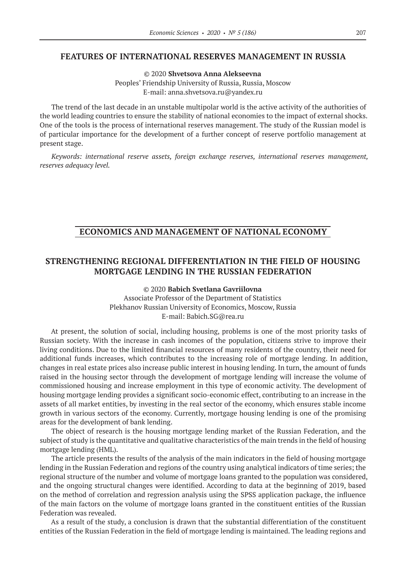### **FEATURES OF INTERNATIONAL RESERVES MANAGEMENT IN RUSSIA**

© 2020 **Shvetsova Anna Alekseevna** Peoples' Friendship University of Russia, Russia, Moscow E-mail: anna.shvetsova.ru@yandex.ru

The trend of the last decade in an unstable multipolar world is the active activity of the authorities of the world leading countries to ensure the stability of national economies to the impact of external shocks. One of the tools is the process of international reserves management. The study of the Russian model is of particular importance for the development of a further concept of reserve portfolio management at present stage.

*Keywords: international reserve assets, foreign exchange reserves, international reserves management, reserves adequacy level.*

### **ECONOMICS AND MANAGEMENT OF NATIONAL ECONOMY**

# **STRENGTHENING REGIONAL DIFFERENTIATION IN THE FIELD OF HOUSING MORTGAGE LENDING IN THE RUSSIAN FEDERATION**

© 2020 **Babich Svetlana Gavriilovna** Associate Professor of the Department of Statistics Plekhanov Russian University of Economics, Moscow, Russia E-mail: Babich.SG@rea.ru

At present, the solution of social, including housing, problems is one of the most priority tasks of Russian society. With the increase in cash incomes of the population, citizens strive to improve their living conditions. Due to the limited financial resources of many residents of the country, their need for additional funds increases, which contributes to the increasing role of mortgage lending. In addition, changes in real estate prices also increase public interest in housing lending. In turn, the amount of funds raised in the housing sector through the development of mortgage lending will increase the volume of commissioned housing and increase employment in this type of economic activity. The development of housing mortgage lending provides a significant socio-economic effect, contributing to an increase in the assets of all market entities, by investing in the real sector of the economy, which ensures stable income growth in various sectors of the economy. Currently, mortgage housing lending is one of the promising areas for the development of bank lending.

The object of research is the housing mortgage lending market of the Russian Federation, and the subject of study is the quantitative and qualitative characteristics of the main trends in the field of housing mortgage lending (HML).

The article presents the results of the analysis of the main indicators in the field of housing mortgage lending in the Russian Federation and regions of the country using analytical indicators of time series; the regional structure of the number and volume of mortgage loans granted to the population was considered, and the ongoing structural changes were identified. According to data at the beginning of 2019, based on the method of correlation and regression analysis using the SPSS application package, the influence of the main factors on the volume of mortgage loans granted in the constituent entities of the Russian Federation was revealed.

As a result of the study, a conclusion is drawn that the substantial differentiation of the constituent entities of the Russian Federation in the field of mortgage lending is maintained. The leading regions and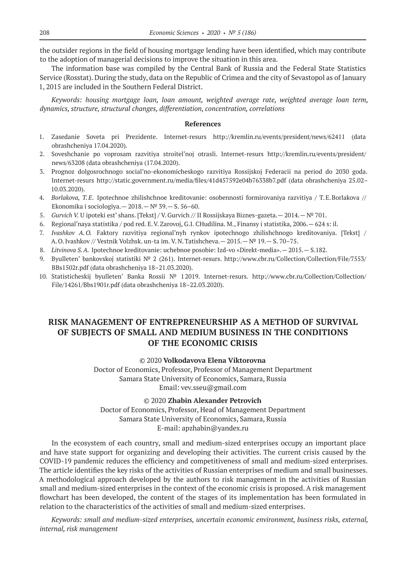the outsider regions in the field of housing mortgage lending have been identified, which may contribute to the adoption of managerial decisions to improve the situation in this area.

The information base was compiled by the Central Bank of Russia and the Federal State Statistics Service (Rosstat). During the study, data on the Republic of Crimea and the city of Sevastopol as of January 1, 2015 are included in the Southern Federal District.

*Keywords: housing mortgage loan, loan amount, weighted average rate, weighted average loan term, dynamics, structure, structural changes, differentiation, concentration, correlations*

#### **References**

- 1. Zasedanie Soveta pri Prezidente. Internet-resurs http://kremlin.ru/events/president/news/62411 (data obrashcheniya 17.04.2020).
- 2. Soveshchanie po voprosam razvitiya stroitel'noj otrasli. Internet-resurs http://kremlin.ru/events/president/ news/63208 (data obrashcheniya (17.04.2020).
- 3. Prognoz dolgosrochnogo social'no-ekonomicheskogo razvitiya Rossijskoj Federacii na period do 2030 goda. Internet-resurs http://static.government.ru/media/files/41d457592e04b76338b7.pdf (data obrashcheniya 25.02– 10.03.2020).
- 4. *Borlakova, T.E*. Ipotechnoe zhilishchnoe kreditovanie: osobennosti formirovaniya razvitiya / T.E.Borlakova // Ekonomika i sociologiya. —  $2018.$  —  $N<sup>°</sup> 39.$  — S. 56–60.
- 5. *Gurvich V.* U ipoteki est' shans. [Tekst] / V.Gurvich // II Rossijskaya Biznes-gazeta.— 2014.—№ 701.
- 6. Regional'naya statistika / pod red. E.V.Zarovoj, G.I. CHudilina. M., Finansy i statistika, 2006.— 624 s: il.
- 7. *Ivashkov A.O.* Faktory razvitiya regional'nyh rynkov ipotechnogo zhilishchnogo kreditovaniya. [Tekst] / A.O.Ivashkov // Vestnik Volzhsk. un-ta im. V.N.Tatishcheva.— 2015.—№ 19.— S. 70–75.
- 8. *Litvinova S.A.* Ipotechnoe kreditovanie: uchebnoe posobie: Izd-vo «Direkt-media».— 2015.— S.182.
- 9. Byulleten' bankovskoj statistiki № 2 (261). Internet-resurs. http://www.cbr.ru/Collection/Collection/File/7553/ BBs1502r.pdf (data obrashcheniya 18–21.03.2020).
- 10. Statisticheskij byulleten' Banka Rossii № 12019. Internet-resurs. http://www.cbr.ru/Collection/Collection/ File/14261/Bbs1901r.pdf (data obrashcheniya 18–22.03.2020).

# **RISK MANAGEMENT OF ENTREPRENEURSHIP AS A METHOD OF SURVIVAL OF SUBJECTS OF SMALL AND MEDIUM BUSINESS IN THE CONDITIONS OF THE ECONOMIC CRISIS**

### © 2020 **Volkodavova Elena Viktorovna**

Doctor of Economics, Professor, Professor of Management Department Samara State University of Economics, Samara, Russia Email: vev.sseu@gmail.com

© 2020 **Zhabin Alexander Petrovich**

Doctor of Economics, Professor, Head of Management Department Samara State University of Economics, Samara, Russia E-mail: apzhabin@yandex.ru

In the ecosystem of each country, small and medium-sized enterprises occupy an important place and have state support for organizing and developing their activities. The current crisis caused by the COVID‑19 pandemic reduces the efficiency and competitiveness of small and medium-sized enterprises. The article identifies the key risks of the activities of Russian enterprises of medium and small businesses. A methodological approach developed by the authors to risk management in the activities of Russian small and medium-sized enterprises in the context of the economic crisis is proposed. A risk management flowchart has been developed, the content of the stages of its implementation has been formulated in relation to the characteristics of the activities of small and medium-sized enterprises.

*Keywords: small and medium-sized enterprises, uncertain economic environment, business risks, external, internal, risk management*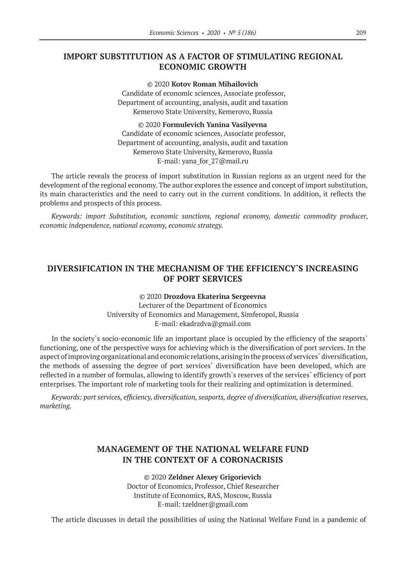# **IMPORT SUBSTITUTION AS A FACTOR OF STIMULATING REGIONAL ECONOMIC GROWTH**

© 2020 **Kotov Roman Mihailovich**

Candidate of economic sciences, Associate professor, Department of accounting, analysis, audit and taxation Kemerovo State University, Kemerovo, Russia

© 2020 **Formulevich Yanina Vasilyevna** Candidate of economic sciences, Associate professor, Department of accounting, analysis, audit and taxation Kemerovo State University, Kemerovo, Russia E-mail: yana\_for\_27@mail.ru

The article reveals the process of import substitution in Russian regions as an urgent need for the development of the regional economy. The author explores the essence and concept of import substitution, its main characteristics and the need to carry out in the current conditions. In addition, it reflects the problems and prospects of this process.

*Keywords: import Substitution, economic sanctions, regional economy, domestic commodity producer, economic independence, national economy, economic strategy.*

# **DIVERSIFICATION IN THE MECHANISM OF THE EFFICIENCY`S INCREASING OF PORT SERVICES**

### © 2020 **Drozdova Ekaterina Sergeevna**

Lecturer of the Department of Economics University of Economics and Management, Simferopol, Russia Е-mail: ekadrzdva@gmail.com

In the society`s socio-economic life an important place is occupied by the efficiency of the seaports` functioning, one of the perspective ways for achieving which is the diversification of port services. In the aspect of improving organizational and economic relations, arising in the process of services` diversification, the methods of assessing the degree of port services` diversification have been developed, which are reflected in a number of formulas, allowing to identify growth`s reserves of the services` efficiency of port enterprises. The important role of marketing tools for their realizing and optimization is determined.

*Keywords: port services, efficiency, diversification, seaports, degree of diversification, diversification reserves, marketing.*

# **MANAGEMENT OF THE NATIONAL WELFARE FUND IN THE CONTEXT OF A CORONACRISIS**

© 2020 **Zeldner Alexey Grigorievich** Doctor of Economics, Professor, Chief Researcher Institute of Economics, RAS, Moscow, Russia E-mail: tzeldner@gmail.com

The article discusses in detail the possibilities of using the National Welfare Fund in a pandemic of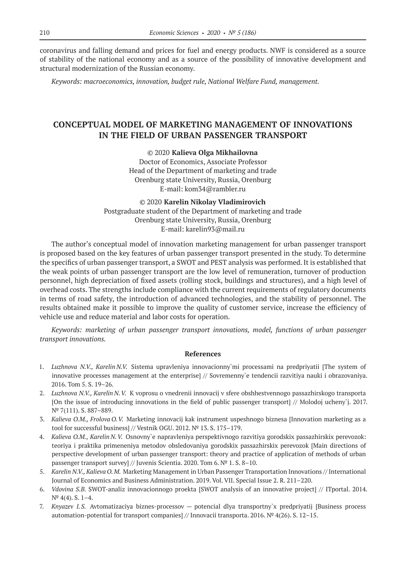coronavirus and falling demand and prices for fuel and energy products. NWF is considered as a source of stability of the national economy and as a source of the possibility of innovative development and structural modernization of the Russian economy.

*Keywords: macroeconomics, innovation, budget rule, National Welfare Fund, management.*

# **CONCEPTUAL MODEL OF MARKETING MANAGEMENT OF INNOVATIONS IN THE FIELD OF URBAN PASSENGER TRANSPORT**

© 2020 **Kalieva Olga Mikhailovna** Doctor of Economics, Associate Professor Head of the Department of marketing and trade

Orenburg state University, Russia, Orenburg E-mail: kom34@rambler.ru

© 2020 **Karelin Nikolay Vladimirovich** Postgraduate student of the Department of marketing and trade Orenburg state University, Russia, Orenburg E-mail: karelin93@mail.ru

The author's conceptual model of innovation marketing management for urban passenger transport is proposed based on the key features of urban passenger transport presented in the study. To determine the specifics of urban passenger transport, a SWOT and PEST analysis was performed. It is established that the weak points of urban passenger transport are the low level of remuneration, turnover of production personnel, high depreciation of fixed assets (rolling stock, buildings and structures), and a high level of overhead costs. The strengths include compliance with the current requirements of regulatory documents in terms of road safety, the introduction of advanced technologies, and the stability of personnel. The results obtained make it possible to improve the quality of customer service, increase the efficiency of vehicle use and reduce material and labor costs for operation.

*Keywords: marketing of urban passenger transport innovations, model, functions of urban passenger transport innovations.*

- 1. *Luzhnova N.V., Karelin N.V.* Sistema upravleniya innovacionny`mi processami na predpriyatii [The system of innovative processes management at the enterprise] // Sovremenny`e tendencii razvitiya nauki i obrazovaniya. 2016. Tom 5. S. 19–26.
- 2. *Luzhnova N.V., Karelin N.V.* K voprosu o vnedrenii innovacij v sfere obshhestvennogo passazhirskogo transporta [On the issue of introducing innovations in the field of public passenger transport] // Molodoj ucheny`j. 2017. N<sup>o</sup> 7(111). S. 887-889.
- 3. *Kalieva O.M., Frolova O.V.* Marketing innovacij kak instrument uspeshnogo biznesa [Innovation marketing as a tool for successful business] // Vestnik OGU. 2012. № 13. S. 175–179.
- 4. *Kalieva O.M., Karelin N.V.* Osnovny`e napravleniya perspektivnogo razvitiya gorodskix passazhirskix perevozok: teoriya i praktika primeneniya metodov obsledovaniya gorodskix passazhirskix perevozok [Main directions of perspective development of urban passenger transport: theory and practice of application of methods of urban passenger transport survey] // Juvenis Scientia. 2020. Tom 6. № 1. S. 8–10.
- 5. *Karelin N.V., Kalieva O.M.* Marketing Management in Urban Passenger Transportation Innovations // International Journal of Economics and Business Administration. 2019. Vol. VII. Special Issue 2. R. 211–220.
- 6. *Vdovina S.B.* SWOT-analiz innovacionnogo proekta [SWOT analysis of an innovative project] // ITportal. 2014.  $N^{\circ}$  4(4). S. 1-4.
- 7. *Knyazev I.S.* Avtomatizaciya biznes-processov potencial dlya transportny`x predpriyatij [Business process automation-potential for transport companies] // Innovacii transporta. 2016. № 4(26). S. 12–15.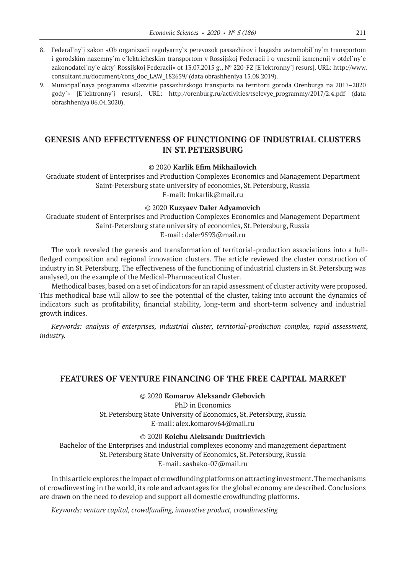- 8. Federal`ny`j zakon «Ob organizacii regulyarny`x perevozok passazhirov i bagazha avtomobil`ny`m transportom i gorodskim nazemny`m e`lektricheskim transportom v Rossijskoj Federacii i o vnesenii izmenenij v otdel`ny`e zakonodatel`ny`e akty` Rossijskoj Federacii» ot 13.07.2015 g., № 220-FZ [E`lektronny`j resurs]. URL: http://www. consultant.ru/document/cons\_doc\_LAW\_182659/ (data obrashheniya 15.08.2019).
- 9. Municipal`naya programma «Razvitie passazhirskogo transporta na territorii goroda Orenburga na 2017–2020 gody`» [E`lektronny`j resurs]. URL: http://orenburg.ru/activities/tselevye\_programmy/2017/2.4.pdf (data obrashheniya 06.04.2020).

# **GENESIS AND EFFECTIVENESS OF FUNCTIONING OF INDUSTRIAL CLUSTERS IN ST.PETERSBURG**

© 2020 **Karlik Efim Mikhailovich**

Graduate student of Enterprises and Production Complexes Economics and Management Department Saint-Petersburg state university of economics, St.Petersburg, Russia E-mail: fmkarlik@mail.ru

#### © 2020 **Kuzyaev Daler Adyamovich**

Graduate student of Enterprises and Production Complexes Economics and Management Department Saint-Petersburg state university of economics, St.Petersburg, Russia E-mail: daler9593@mail.ru

The work revealed the genesis and transformation of territorial-production associations into a fullfledged composition and regional innovation clusters. The article reviewed the cluster construction of industry in St.Petersburg. The effectiveness of the functioning of industrial clusters in St.Petersburg was analysed, on the example of the Medical-Pharmaceutical Cluster.

Methodical bases, based on a set of indicators for an rapid assessment of cluster activity were proposed. This methodical base will allow to see the potential of the cluster, taking into account the dynamics of indicators such as profitability, financial stability, long-term and short-term solvency and industrial growth indices.

*Keywords: analysis of enterprises, industrial cluster, territorial-production complex, rapid assessment, industry.*

# **FEATURES OF VENTURE FINANCING OF THE FREE CAPITAL MARKET**

© 2020 **Komarov Aleksandr Glebovich** PhD in Economics St.Petersburg State University of Economics, St.Petersburg, Russia E-mail: alex.komarov64@mail.ru

© 2020 **Koichu Aleksandr Dmitrievich**

Bachelor of the Enterprises and industrial complexes economy and management department St.Petersburg State University of Economics, St.Petersburg, Russia E-mail: sashako‑07@mail.ru

In this article explores the impact of crowdfunding platforms on attracting investment. The mechanisms of crowdinvesting in the world, its role and advantages for the global economy are described. Conclusions are drawn on the need to develop and support all domestic crowdfunding platforms.

*Keywords: venture capital, crowdfunding, innovative product, crowdinvesting*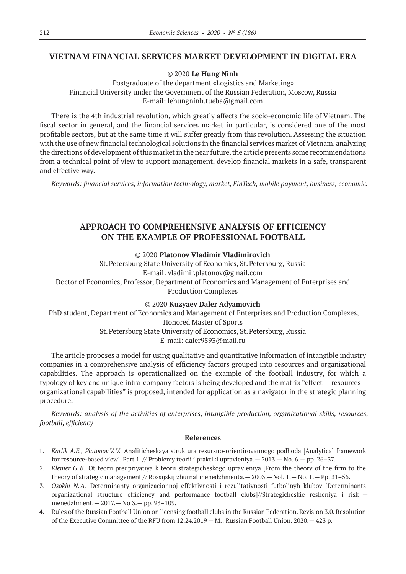### **VIETNAM FINANCIAL SERVICES MARKET DEVELOPMENT IN DIGITAL ERA**

© 2020 **Le Hung Ninh**

Postgraduate of the department «Logistics and Marketing» Financial University under the Government of the Russian Federation, Moscow, Russia E-mail: lehungninh.tueba@gmail.com

There is the 4th industrial revolution, which greatly affects the socio-economic life of Vietnam. The fiscal sector in general, and the financial services market in particular, is considered one of the most profitable sectors, but at the same time it will suffer greatly from this revolution. Assessing the situation with the use of new financial technological solutions in the financial services market of Vietnam, analyzing the directions of development of this market in the near future, the article presents some recommendations from a technical point of view to support management, develop financial markets in a safe, transparent and effective way.

*Keywords: financial services, information technology, market, FinTech, mobile payment, business, economic.*

# **APPROACH TO COMPREHENSIVE ANALYSIS OF EFFICIENCY ON THE EXAMPLE OF PROFESSIONAL FOOTBALL**

### © 2020 **Platonov Vladimir Vladimirovich**

St.Petersburg State University of Economics, St.Petersburg, Russia E-mail: vladimir.platonov@gmail.com Doctor of Economics, Professor, Department of Economics and Management of Enterprises and Production Complexes

© 2020 **Kuzyaev Daler Adyamovich**

PhD student, Department of Economics and Management of Enterprises and Production Complexes,

Honored Master of Sports

St.Petersburg State University of Economics, St.Petersburg, Russia E-mail: daler9593@mail.ru

The article proposes a model for using qualitative and quantitative information of intangible industry companies in a comprehensive analysis of efficiency factors grouped into resources and organizational capabilities. The approach is operationalized on the example of the football industry, for which a typology of key and unique intra-company factors is being developed and the matrix "effect — resources organizational capabilities" is proposed, intended for application as a navigator in the strategic planning procedure.

*Keywords: analysis of the activities of enterprises, intangible production, organizational skills, resources, football, efficiency*

- 1. *Karlik A.E., PlatonovV.V.* Analiticheskaya struktura resursno-orientirovannogo podhoda [Analytical framework for resource-based view]. Part 1. // Problemy teorii i praktiki upravleniya.— 2013.— No. 6.— pp. 26–37.
- 2. *Kleiner G.B.* Ot teorii predpriyatiya k teorii strategicheskogo upravleniya [From the theory of the firm to the theory of strategic management // Rossijskij zhurnal menedzhmenta.— 2003.— Vol. 1.— No. 1.— Pp. 31–56.
- 3. *Osokin N.A.* Determinanty organizacionnoj effektivnosti i rezul'tativnosti futbol'nyh klubov [Determinants organizational structure efficiency and performance football clubs]//Strategicheskie resheniya i risk menedzhment.— 2017.— No 3.— pp. 93–109.
- 4. Rules of the Russian Football Union on licensing football clubs in the Russian Federation. Revision 3.0. Resolution of the Executive Committee of the RFU from 12.24.2019 — M.: Russian Football Union. 2020.— 423 p.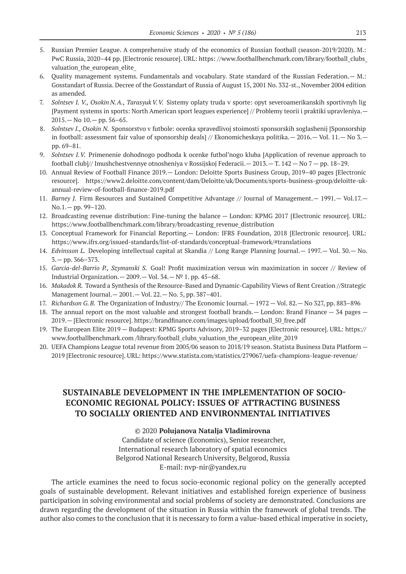- 5. Russian Premier League. A comprehensive study of the economics of Russian football (season‑2019/2020). M.: PwC Russia, 2020–44 pp. [Electronic resource]. URL: https: //www.footballbenchmark.com/library/football\_clubs\_ valuation\_the\_european\_elite\_
- 6. Quality management systems. Fundamentals and vocabulary. State standard of the Russian Federation.— M.: Gosstandart of Russia. Decree of the Gosstandart of Russia of August 15, 2001 No. 332‑st., November 2004 edition as amended.
- 7. *Solntsev I. V., Osokin N.A., TarasyukV.V.* Sistemy oplaty truda v sporte: opyt severoamerikanskih sportivnyh lig [Payment systems in sports: North American sport leagues experience] // Problemy teorii i praktiki upravleniya.—  $2015 - No$   $10 - *pp*$ ,  $56 - 65$ .
- 8. *Solntsev I., Osokin N.* Sponsorstvo v futbole: ocenka spravedlivoj stoimosti sponsorskih soglashenij [Sponsorship in football: assessment fair value of sponsorship deals] // Ekonomicheskaya politika.— 2016.— Vol. 11.— No 3. pp. 69–81.
- 9. *Solntsev I.V.* Primenenie dohodnogo podhoda k ocenke futbol'nogo kluba [Application of revenue approach to football club]// Imushchestvennye otnosheniya v Rossijskoj Federacii.— 2013.— T. 142 — No 7 — pp. 18–29.
- 10. Annual Review of Football Finance 2019.— London: Deloitte Sports Business Group, 2019–40 pages [Electronic resource]. https://www2.deloitte.com/content/dam/Deloitte/uk/Documents/sports-business-group/deloitte-ukannual-review-of-football-finance‑2019.pdf
- 11. *Barney J.* Firm Resources and Sustained Competitive Advantage // Journal of Management. 1991. Vol.17. No.1.— pp. 99–120.
- 12. Broadcasting revenue distribution: Fine-tuning the balance London: KPMG 2017 [Electronic resource]. URL: https://www.footballbenchmark.com/library/broadcasting\_revenue\_distribution
- 13. Conceptual Framework for Financial Reporting.— London: IFRS Foundation, 2018 [Electronic resource]. URL: https://www.ifrs.org/issued-standards/list-of-standards/conceptual-framework/#translations
- 14. *Edvinsson L.* Developing intellectual capital at Skandia // Long Range Planning Journal.— 1997.— Vol. 30.— No. 3.— pp. 366–373.
- 15. *Garcia-del-Barrio P., Szymanski S.* Goal! Profit maximization versus win maximization in soccer // Review of Industrial Organization.—  $2009.$ — Vol. 34.—  $N<sup>°</sup>$  1. pp. 45–68.
- 16. *Makadok R.* Toward a Synthesis of the Resource-Based and Dynamic-Capability Views of Rent Creation //Strategic Management Journal.— 2001.— Vol. 22.— No. 5, pp. 387–401.
- 17. *Richardson G.B.* The Organization of Industry// The Economic Journal.— 1972 Vol. 82.— No 327, pp. 883–896
- 18. The annual report on the most valuable and strongest football brands.— London: Brand Finance 34 pages 2019.— [Electronic resource]. https://brandfinance.com/images/upload/football\_50\_free.pdf
- 19. The European Elite 2019 Budapest: KPMG Sports Advisory, 2019–32 pages [Electronic resource]. URL: https:// www.footballbenchmark.com /library/football\_clubs\_valuation\_the\_european\_elite\_2019
- 20. UEFA Champions League total revenue from 2005/06 season to 2018/19 season. Statista Business Data Platform 2019 [Electronic resource]. URL: https://www.statista.com/statistics/279067/uefa-champions-league-revenue/

# **SUSTAINABLE DEVELOPMENT IN THE IMPLEMENTATION OF SOCIO-ECONOMIC REGIONAL POLICY: ISSUES OF ATTRACTING BUSINESS TO SOCIALLY ORIENTED AND ENVIRONMENTAL INITIATIVES**

#### © 2020 **Polujanova Natalja Vladimirovna**

Сandidate of science (Economics), Senior researcher, International research laboratory of spatial economics Belgorod National Research University, Belgorod, Russia E-mail: nvp-nir@yandex.ru

The article examines the need to focus socio-economic regional policy on the generally accepted goals of sustainable development. Relevant initiatives and established foreign experience of business participation in solving environmental and social problems of society are demonstrated. Conclusions are drawn regarding the development of the situation in Russia within the framework of global trends. The author also comes to the conclusion that it is necessary to form a value-based ethical imperative in society,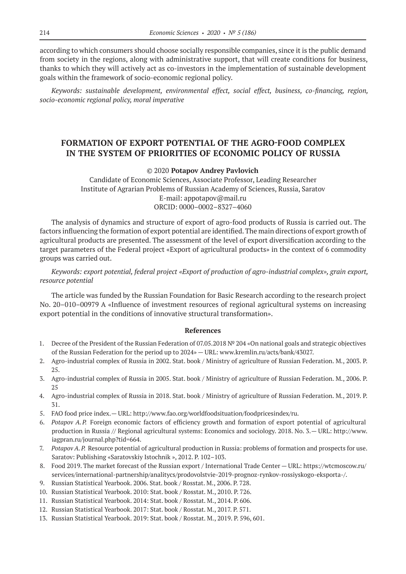according to which consumers should choose socially responsible companies, since it is the public demand from society in the regions, along with administrative support, that will create conditions for business, thanks to which they will actively act as co-investors in the implementation of sustainable development goals within the framework of socio-economic regional policy.

*Keywords: sustainable development, environmental effect, social effect, business, co-financing, region, socio-economic regional policy, moral imperative*

# **FORMATION OF EXPORT POTENTIAL OF THE AGRO-FOOD COMPLEX IN THE SYSTEM OF PRIORITIES OF ECONOMIC POLICY OF RUSSIA**

#### © 2020 **Potapov Andrey Pavlovich**

Candidate of Economic Sciences, Associate Professor, Leading Researcher Institute of Agrarian Problems of Russian Academy of Sciences, Russia, Saratov E-mail: appotapov@mail.ru ORCID: 0000–0002–8327–4060

The analysis of dynamics and structure of export of agro-food products of Russia is carried out. The factors influencing the formation of export potential are identified. The main directions of export growth of agricultural products are presented. The assessment of the level of export diversification according to the target parameters of the Federal project «Export of agricultural products» in the context of 6 commodity groups was carried out.

### *Keywords: export potential, federal project «Export of production of agro-industrial complex», grain export, resource potential*

The article was funded by the Russian Foundation for Basic Research according to the research project No. 20–010–00979 A «Influence of investment resources of regional agricultural systems on increasing export potential in the conditions of innovative structural transformation».

- 1. Decree of the President of the Russian Federation of 07.05.2018 № 204 «On national goals and strategic objectives of the Russian Federation for the period up to 2024» — URL: www.kremlin.ru/acts/bank/43027.
- 2. Agro-industrial complex of Russia in 2002. Stat. book / Ministry of agriculture of Russian Federation. М., 2003. P. 25.
- 3. Agro-industrial complex of Russia in 2005. Stat. book / Ministry of agriculture of Russian Federation. М., 2006. P. 25
- 4. Agro-industrial complex of Russia in 2018. Stat. book / Ministry of agriculture of Russian Federation. М., 2019. P. 31.
- 5. FAO food price index.— URL: http://www.fao.org/worldfoodsituation/foodpricesindex/ru.
- 6. *Potapov A.P.* Foreign economic factors of efficiency growth and formation of export potential of agricultural production in Russia // Regional agricultural systems: Economics and sociology. 2018. No. 3.— URL: http://www. iagpran.ru/journal.php?tid=664.
- 7. *Potapov A.P.* Resource potential of agricultural production in Russia: problems of formation and prospects for use. Saratov: Publishing «Saratovskiy Istochnik », 2012. P. 102–103.
- 8. Food 2019. The market forecast of the Russian export / International Trade Center URL: https://wtcmoscow.ru/ services/international-partnership/analitycs/prodovolstvie‑2019‑prognoz-rynkov-rossiyskogo-eksporta-/.
- 9. Russian Statistical Yearbook. 2006. Stat. book / Rosstat. М., 2006. P. 728.
- 10. Russian Statistical Yearbook. 2010: Stat. book / Rosstat. М., 2010. P. 726.
- 11. Russian Statistical Yearbook. 2014: Stat. book / Rosstat. М., 2014. P. 606.
- 12. Russian Statistical Yearbook. 2017: Stat. book / Rosstat. М., 2017. P. 571.
- 13. Russian Statistical Yearbook. 2019: Stat. book / Rosstat. М., 2019. P. 596, 601.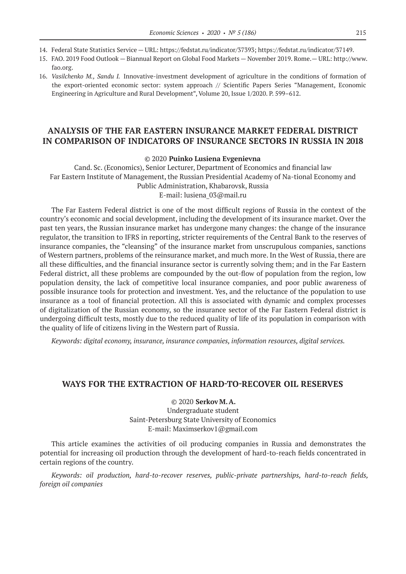- 14. Federal State Statistics Service URL: https://fedstat.ru/indicator/37393; https://fedstat.ru/indicator/37149.
- 15. FAO. 2019 Food Outlook Biannual Report on Global Food Markets November 2019. Rome.— URL: http://www. fao.org.
- 16. *Vasilchenko M., Sandu I.* Innovative-investment development of agriculture in the conditions of formation of the export-oriented economic sector: system approach // Scientific Papers Series "Management, Economic Engineering in Agriculture and Rural Development", Volume 20, Issue 1/2020. P. 599–612.

# **ANALYSIS OF THE FAR EASTERN INSURANCE MARKET FEDERAL DISTRICT IN COMPARISON OF INDICATORS OF INSURANCE SECTORS IN RUSSIA IN 2018**

#### © 2020 **Puinko Lusiena Evgenievna**

Cand. Sc. (Economics), Senior Lecturer, Department of Economics and financial law Far Eastern Institute of Management, the Russian Presidential Academy of Na-tional Economy and Public Administration, Khabarovsk, Russia E-mail: lusiena\_03@mail.ru

The Far Eastern Federal district is one of the most difficult regions of Russia in the context of the country's economic and social development, including the development of its insurance market. Over the past ten years, the Russian insurance market has undergone many changes: the change of the insurance regulator, the transition to IFRS in reporting, stricter requirements of the Central Bank to the reserves of insurance companies, the "cleansing" of the insurance market from unscrupulous companies, sanctions of Western partners, problems of the reinsurance market, and much more. In the West of Russia, there are all these difficulties, and the financial insurance sector is currently solving them; and in the Far Eastern Federal district, all these problems are compounded by the out-flow of population from the region, low population density, the lack of competitive local insurance companies, and poor public awareness of possible insurance tools for protection and investment. Yes, and the reluctance of the population to use insurance as a tool of financial protection. All this is associated with dynamic and complex processes of digitalization of the Russian economy, so the insurance sector of the Far Eastern Federal district is undergoing difficult tests, mostly due to the reduced quality of life of its population in comparison with the quality of life of citizens living in the Western part of Russia.

*Keywords: digital economy, insurance, insurance companies, information resources, digital services.*

### **WAYS FOR THE EXTRACTION OF HARD-TO-RECOVER OIL RESERVES**

© 2020 **Serkov M.A.** Undergraduate student Saint-Petersburg State University of Economics E-mail: Maximserkov1@gmail.com

This article examines the activities of oil producing companies in Russia and demonstrates the potential for increasing oil production through the development of hard-to-reach fields concentrated in certain regions of the country.

*Keywords: oil production, hard-to-recover reserves, public-private partnerships, hard-to-reach fields, foreign oil companies*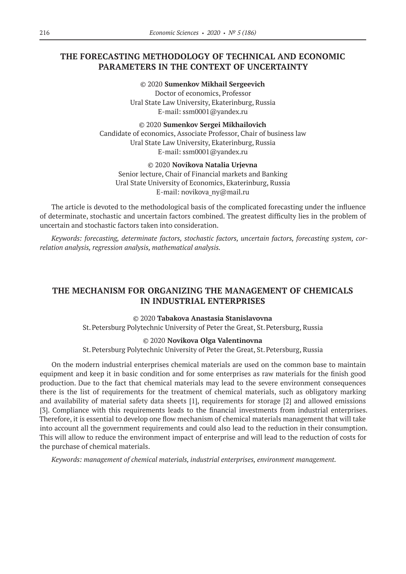# **THE FORECASTING METHODOLOGY OF TECHNICAL AND ECONOMIC PARAMETERS IN THE CONTEXT OF UNCERTAINTY**

© 2020 **Sumenkov Mikhail Sergeevich** Doctor of economics, Professor Ural State Law University, Ekaterinburg, Russia E-mail: ssm0001@yandex.ru

© 2020 **Sumenkov Sergei Mikhailovich** Candidate of economics, Associate Professor, Chair of business law Ural State Law University, Ekaterinburg, Russia E-mail: ssm0001@yandex.ru

© 2020 **Novikova Natalia Urjevna**

Senior lecture, Chair of Financial markets and Banking Ural State University of Economics, Ekaterinburg, Russia E-mail: novikova\_ny@mail.ru

The article is devoted to the methodological basis of the complicated forecasting under the influence of determinate, stochastic and uncertain factors combined. The greatest difficulty lies in the problem of uncertain and stochastic factors taken into consideration.

*Keywords: forecasting, determinate factors, stochastic factors, uncertain factors, forecasting system, correlation analysis, regression analysis, mathematical analysis.*

# **THE MECHANISM FOR ORGANIZING THE MANAGEMENT OF CHEMICALS IN INDUSTRIAL ENTERPRISES**

#### © 2020 **Tabakova Anastasia Stanislavovna**

St.Petersburg Polytechnic University of Peter the Great, St.Petersburg, Russia

#### © 2020 **Novikova Olga Valentinovna**

St.Petersburg Polytechnic University of Peter the Great, St.Petersburg, Russia

On the modern industrial enterprises chemical materials are used on the common base to maintain equipment and keep it in basic condition and for some enterprises as raw materials for the finish good production. Due to the fact that chemical materials may lead to the severe environment consequences there is the list of requirements for the treatment of chemical materials, such as obligatory marking and availability of material safety data sheets [1], requirements for storage [2] and allowed emissions [3]. Compliance with this requirements leads to the financial investments from industrial enterprises. Therefore, it is essential to develop one flow mechanism of chemical materials management that will take into account all the government requirements and could also lead to the reduction in their consumption. This will allow to reduce the environment impact of enterprise and will lead to the reduction of costs for the purchase of chemical materials.

*Keywords: management of chemical materials, industrial enterprises, environment management.*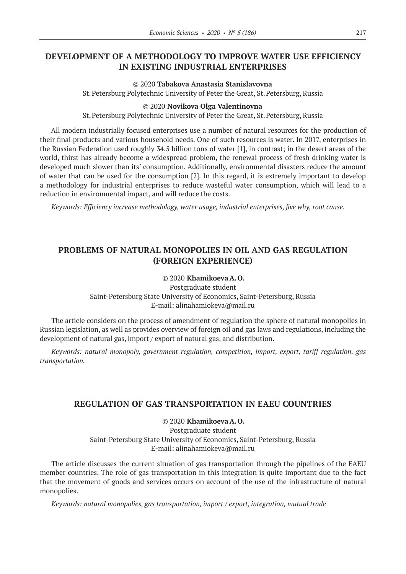# **DEVELOPMENT OF A METHODOLOGY TO IMPROVE WATER USE EFFICIENCY IN EXISTING INDUSTRIAL ENTERPRISES**

#### © 2020 **Tabakova Anastasia Stanislavovna**

St.Petersburg Polytechnic University of Peter the Great, St.Petersburg, Russia

#### © 2020 **Novikova Olga Valentinovna**

St.Petersburg Polytechnic University of Peter the Great, St.Petersburg, Russia

All modern industrially focused enterprises use a number of natural resources for the production of their final products and various household needs. One of such resources is water. In 2017, enterprises in the Russian Federation used roughly 34.5 billion tons of water [1], in contrast; in the desert areas of the world, thirst has already become a widespread problem, the renewal process of fresh drinking water is developed much slower than its' consumption. Additionally, environmental disasters reduce the amount of water that can be used for the consumption [2]. In this regard, it is extremely important to develop a methodology for industrial enterprises to reduce wasteful water consumption, which will lead to a reduction in environmental impact, and will reduce the costs.

*Keywords: Efficiency increase methodology, water usage, industrial enterprises, five why, root cause.*

# **PROBLEMS OF NATURAL MONOPOLIES IN OIL AND GAS REGULATION (FOREIGN EXPERIENCE)**

### © 2020 **Khamikoeva A.O.**

Postgraduate student Saint-Petersburg State University of Economics, Saint-Petersburg, Russia E-mail: alinahamiokeva@mail.ru

The article considers on the process of amendment of regulation the sphere of natural monopolies in Russian legislation, as well as provides overview of foreign oil and gas laws and regulations, including the development of natural gas, import / export of natural gas, and distribution.

*Keywords: natural monopoly, government regulation, competition, import, export, tariff regulation, gas transportation.*

### **REGULATION OF GAS TRANSPORTATION IN EAEU COUNTRIES**

© 2020 **Khamikoeva A.O.** Postgraduate student Saint-Petersburg State University of Economics, Saint-Petersburg, Russia E-mail: alinahamiokeva@mail.ru

The article discusses the current situation of gas transportation through the pipelines of the EAEU member countries. The role of gas transportation in this integration is quite important due to the fact that the movement of goods and services occurs on account of the use of the infrastructure of natural monopolies.

*Keywords: natural monopolies, gas transportation, import / export, integration, mutual trade*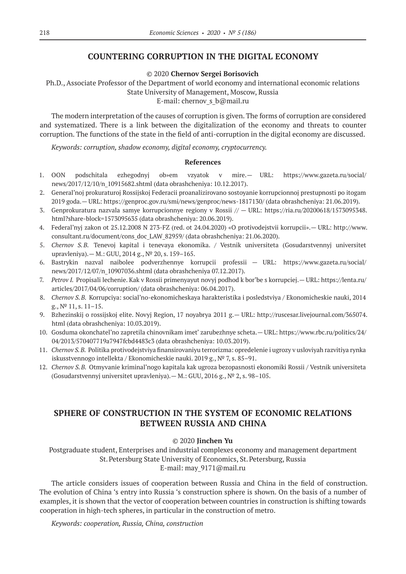### **COUNTERING CORRUPTION IN THE DIGITAL ECONOMY**

#### © 2020 **Chernov Sergei Borisovich**

Ph.D., Associate Professor of the Department of world economy and international economic relations State University of Management, Moscow, Russia

E-mail: chernov s b@mail.ru

The modern interpretation of the causes of corruption is given. The forms of corruption are considered and systematized. There is a link between the digitalization of the economy and threats to counter corruption. The functions of the state in the field of anti-corruption in the digital economy are discussed.

*Keywords: corruption, shadow economy, digital economy, cryptocurrency.*

#### **References**

- 1. OON podschitala ezhegodnyj ob»em vzyatok v mire.— URL: https://www.gazeta.ru/social/ news/2017/12/10/n\_10915682.shtml (data obrashcheniya: 10.12.2017).
- 2. General'noj prokuraturoj Rossijskoj Federacii proanalizirovano sostoyanie korrupcionnoj prestupnosti po itogam 2019 goda.— URL: https://genproc.gov.ru/smi/news/genproc/news‑1817130/ (data obrashcheniya: 21.06.2019).
- 3. Genprokuratura nazvala samye korrupcionnye regiony v Rossii // URL: https://ria.ru/20200618/1573095348. html?share-block=1573095635 (data obrashcheniya: 20.06.2019).
- 4. Federal'nyj zakon ot 25.12.2008 N 273-FZ (red. ot 24.04.2020) «O protivodejstvii korrupcii».— URL: http://www. consultant.ru/document/cons\_doc\_LAW\_82959/ (data obrashcheniya: 21.06.2020).
- 5. *Chernov S.B.* Tenevoj kapital i tenevaya ekonomika. / Vestnik universiteta (Gosudarstvennyj universitet upravleniya).— M.: GUU, 2014 g., № 20, s. 159–165.
- 6. Bastrykin nazval naibolee podverzhennye korrupcii professii URL: https://www.gazeta.ru/social/ news/2017/12/07/n\_10907036.shtml (data obrashcheniya 07.12.2017).
- 7. *Petrov I.* Propisali lechenie. Kak v Rossii primenyayut novyj podhod k bor'be s korrupciej.— URL: https://lenta.ru/ articles/2017/04/06/corruption/ (data obrashcheniya: 06.04.2017).
- 8. *Chernov S.B.* Korrupciya: social'no-ekonomicheskaya harakteristika i posledstviya / Ekonomicheskie nauki, 2014 g., № 11, s. 11–15.
- 9. Bzhezinskij o rossijskoj elite. Novyj Region, 17 noyabrya 2011 g.— URL: http://ruscesar.livejournal.com/365074. html (data obrashcheniya: 10.03.2019).
- 10. Gosduma okonchatel'no zapretila chinovnikam imet' zarubezhnye scheta.— URL: https://www.rbc.ru/politics/24/ 04/2013/570407719a7947fcbd4483c3 (data obrashcheniya: 10.03.2019).
- 11. *Chernov S.B.* Politika protivodejstviya finansirovaniyu terrorizma: opredelenie i ugrozy v usloviyah razvitiya rynka iskusstvennogo intellekta / Ekonomicheskie nauki. 2019 g., № 7, s. 85–91.
- 12. *Chernov S.B.* Otmyvanie kriminal'nogo kapitala kak ugroza bezopasnosti ekonomiki Rossii / Vestnik universiteta (Gosudarstvennyj universitet upravleniya).— M.: GUU, 2016 g., № 2, s. 98–105.

# **SPHERE OF CONSTRUCTION IN THE SYSTEM OF ECONOMIC RELATIONS BETWEEN RUSSIA AND CHINA**

#### © 2020 **Jinchen Yu**

Postgraduate student, Enterprises and industrial complexes economy and management department St.Petersburg State University of Economics, St.Petersburg, Russia E-mail: may\_9171@mail.ru

The article considers issues of cooperation between Russia and China in the field of construction. The evolution of China 's entry into Russia 's construction sphere is shown. On the basis of a number of examples, it is shown that the vector of cooperation between countries in construction is shifting towards cooperation in high-tech spheres, in particular in the construction of metro.

*Keywords: cooperation, Russia, China, construction*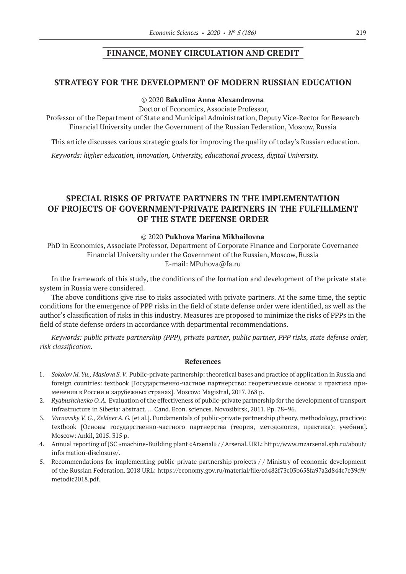### **FINANCE, MONEY CIRCULATION AND CREDIT**

### **STRATEGY FOR THE DEVELOPMENT OF MODERN RUSSIAN EDUCATION**

### © 2020 **Bakulina Anna Alexandrovna**

Doctor of Economics, Associate Professor,

Professor of the Department of State and Municipal Administration, Deputy Vice-Rector for Research Financial University under the Government of the Russian Federation, Moscow, Russia

This article discusses various strategic goals for improving the quality of today's Russian education.

*Keywords: higher education, innovation, University, educational process, digital University.*

# **SPECIAL RISKS OF PRIVATE PARTNERS IN THE IMPLEMENTATION OF PROJECTS OF GOVERNMENT-PRIVATE PARTNERS IN THE FULFILLMENT OF THE STATE DEFENSE ORDER**

#### © 2020 **Pukhova Marina Mikhailovna**

PhD in Economics, Associate Professor, Department of Corporate Finance and Corporate Governance Financial University under the Government of the Russian, Moscow, Russia E-mail: MPuhova@fa.ru

In the framework of this study, the conditions of the formation and development of the private state system in Russia were considered.

The above conditions give rise to risks associated with private partners. At the same time, the septic conditions for the emergence of PPP risks in the field of state defense order were identified, as well as the author's classification of risks in this industry. Measures are proposed to minimize the risks of PPPs in the field of state defense orders in accordance with departmental recommendations.

*Keywords: public private partnership (PPP), private partner, public partner, PPP risks, state defense order, risk classification.*

- 1. *Sokolov M.Yu., Maslova S.V.* Public-private partnership: theoretical bases and practice of application in Russia and foreign countries: textbook [Государственно-частное партнерство: теоретические основы и практика применения в России и зарубежных странах]. Moscow: Magistral, 2017. 268 p.
- 2. *Ryabushchenko O.A.* Evaluation of the effectiveness of public-private partnership for the development of transport infrastructure in Siberia: abstract. … Cand. Econ. sciences. Novosibirsk, 2011. Pp. 78–96.
- 3. *Varnavsky V. G., ZeldnerA.G.* [et al.]. Fundamentals of public-private partnership (theory, methodology, practice): textbook [Основы государственно-частного партнерства (теория, методология, практика): учебник]. Moscow: Ankil, 2015. 315 p.
- 4. Annual reporting of JSC «machine-Building plant «Arsenal» / / Arsenal. URL: http://www.mzarsenal.spb.ru/about/ information-disclosure/.
- 5. Recommendations for implementing public-private partnership projects / / Ministry of economic development of the Russian Federation. 2018 URL: https://economy.gov.ru/material/file/cd482f73c03b658fa97a2d844c7e39d9/ metodic2018.pdf.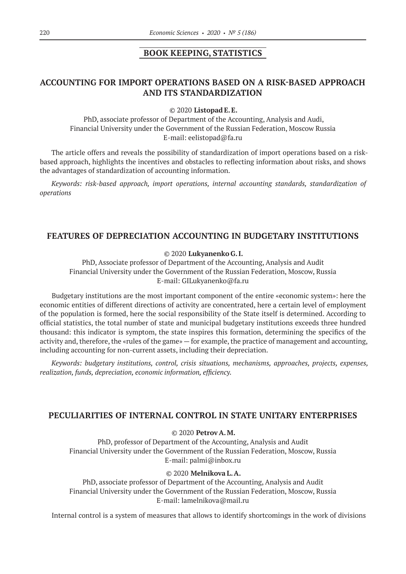### **BOOK KEEPING, STATISTICS**

# **ACCOUNTING FOR IMPORT OPERATIONS BASED ON A RISK-BASED APPROACH AND ITS STANDARDIZATION**

© 2020 **Listopad E.E.**

PhD, associate professor of Department of the Accounting, Analysis and Audi, Financial University under the Government of the Russian Federation, Moscow Russia E-mail: eelistopad@fa.ru

The article offers and reveals the possibility of standardization of import operations based on a riskbased approach, highlights the incentives and obstacles to reflecting information about risks, and shows the advantages of standardization of accounting information.

*Keywords: risk-based approach, import operations, internal accounting standards, standardization of operations*

### **FEATURES OF DEPRECIATION ACCOUNTING IN BUDGETARY INSTITUTIONS**

#### © 2020 **Lukyanenko G.I.**

PhD, Associate professor of Department of the Accounting, Analysis and Audit Financial University under the Government of the Russian Federation, Moscow, Russia E-mail: GILukyanenko@fa.ru

Budgetary institutions are the most important component of the entire «economic system»: here the economic entities of different directions of activity are concentrated, here a certain level of employment of the population is formed, here the social responsibility of the State itself is determined. According to official statistics, the total number of state and municipal budgetary institutions exceeds three hundred thousand: this indicator is symptom, the state inspires this formation, determining the specifics of the activity and, therefore, the «rules of the game» — for example, the practice of management and accounting, including accounting for non-current assets, including their depreciation.

*Keywords: budgetary institutions, control, crisis situations, mechanisms, approaches, projects, expenses, realization, funds, depreciation, economic information, efficiency.*

### **PECULIARITIES OF INTERNAL CONTROL IN STATE UNITARY ENTERPRISES**

### © 2020 **Petrov A.M.**

PhD, professor of Department of the Accounting, Analysis and Audit Financial University under the Government of the Russian Federation, Moscow, Russia E-mail: palmi@inbox.ru

#### © 2020 **Melnikova L.A.**

PhD, associate professor of Department of the Accounting, Analysis and Audit Financial University under the Government of the Russian Federation, Moscow, Russia E-mail: lamelnikova@mail.ru

Internal control is a system of measures that allows to identify shortcomings in the work of divisions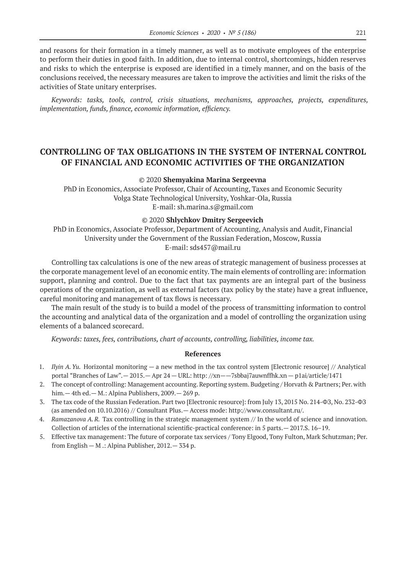and reasons for their formation in a timely manner, as well as to motivate employees of the enterprise to perform their duties in good faith. In addition, due to internal control, shortcomings, hidden reserves and risks to which the enterprise is exposed are identified in a timely manner, and on the basis of the conclusions received, the necessary measures are taken to improve the activities and limit the risks of the activities of State unitary enterprises.

*Keywords: tasks, tools, control, crisis situations, mechanisms, approaches, projects, expenditures, implementation, funds, finance, economic information, efficiency.*

### **CONTROLLING OF TAX OBLIGATIONS IN THE SYSTEM OF INTERNAL CONTROL OF FINANCIAL AND ECONOMIC ACTIVITIES OF THE ORGANIZATION**

#### © 2020 **Shemyakina Marina Sergeevna**

PhD in Economics, Associate Professor, Chair of Accounting, Taxes and Economic Security Volga State Technological University, Yoshkar-Ola, Russia E-mail: sh.marina.s@gmail.com

#### © 2020 **Shlychkov Dmitry Sergeevich**

PhD in Economics, Associate Professor, Department of Accounting, Analysis and Audit, Financial University under the Government of the Russian Federation, Moscow, Russia E-mail: sds457@mail.ru

Controlling tax calculations is one of the new areas of strategic management of business processes at the corporate management level of an economic entity. The main elements of controlling are: information support, planning and control. Due to the fact that tax payments are an integral part of the business operations of the organization, as well as external factors (tax policy by the state) have a great influence, careful monitoring and management of tax flows is necessary.

The main result of the study is to build a model of the process of transmitting information to control the accounting and analytical data of the organization and a model of controlling the organization using elements of a balanced scorecard.

*Keywords: taxes, fees, contributions, chart of accounts, controlling, liabilities, income tax.*

- 1. *Ilyin A.Yu.* Horizontal monitoring a new method in the tax control system [Electronic resource] // Analytical portal "Branches of Law".— 2015.— Apr 24 — URL: http: //xn——7sbbaj7auwnffhk.xn — p1ai/article/1471
- 2. The concept of controlling: Management accounting. Reporting system. Budgeting / Horvath & Partners; Per. with him.— 4th ed.— M.: Alpina Publishers, 2009.— 269 p.
- 3. The tax code of the Russian Federation. Part two [Electronic resource]: from July 13, 2015 No. 214-ФЗ, No. 232-ФЗ (as amended on 10.10.2016) // Consultant Plus.— Access mode: http://www.consultant.ru/.
- 4. *Ramazanova A.R.* Tax controlling in the strategic management system // In the world of science and innovation. Collection of articles of the international scientific-practical conference: in 5 parts.— 2017.S. 16–19.
- 5. Effective tax management: The future of corporate tax services / Tony Elgood, Tony Fulton, Mark Schutzman; Per. from English — M .: Alpina Publisher, 2012.— 334 p.